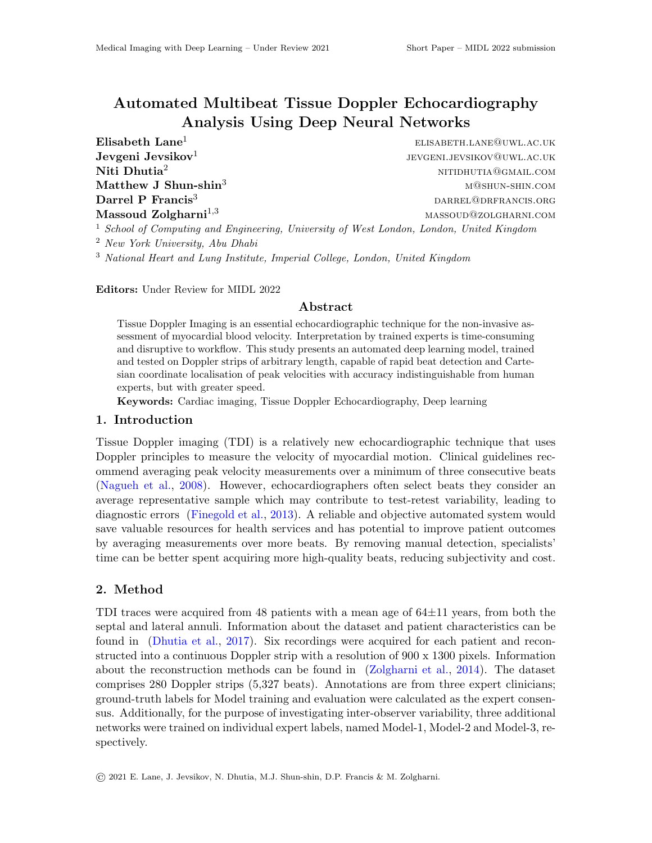# Automated Multibeat Tissue Doppler Echocardiography Analysis Using Deep Neural Networks

 $\textbf{EIsabeth}\ \textbf{Lane}^1 \qquad \qquad \text{EIsaberh.LANE@UWLAC.UK}$ Jevgeni Jevsikov $1$ jevgeni.jevsikov@uwl.ac.uk  $N$ iti  $D$ hutia<sup>2</sup> nitidhutia $\mathbb{Q}_{GML, COM}$  nitidhutia $\mathbb{Q}_{GML, COM}$  $\mathbf{Matthew\ J\ Shun-shin}^3$  matthew J  $\mathbf{Shun-shin}^3$  matthew J Darrel P Francis<sup>3</sup> DARREL@DRFRANCIS.ORG Massoud Zolgharni<sup>1,3</sup> MASSOUD@ZOLGHARNI.COM  $1$  School of Computing and Engineering, University of West London, London, United Kingdom

<sup>2</sup> New York University, Abu Dhabi

<sup>3</sup> National Heart and Lung Institute, Imperial College, London, United Kingdom

Editors: Under Review for MIDL 2022

### Abstract

Tissue Doppler Imaging is an essential echocardiographic technique for the non-invasive assessment of myocardial blood velocity. Interpretation by trained experts is time-consuming and disruptive to workflow. This study presents an automated deep learning model, trained and tested on Doppler strips of arbitrary length, capable of rapid beat detection and Cartesian coordinate localisation of peak velocities with accuracy indistinguishable from human experts, but with greater speed.

Keywords: Cardiac imaging, Tissue Doppler Echocardiography, Deep learning

#### 1. Introduction

Tissue Doppler imaging (TDI) is a relatively new echocardiographic technique that uses Doppler principles to measure the velocity of myocardial motion. Clinical guidelines recommend averaging peak velocity measurements over a minimum of three consecutive beats [\(Nagueh et al.,](#page-2-0) [2008\)](#page-2-0). However, echocardiographers often select beats they consider an average representative sample which may contribute to test-retest variability, leading to diagnostic errors [\(Finegold et al.,](#page-2-1) [2013\)](#page-2-1). A reliable and objective automated system would save valuable resources for health services and has potential to improve patient outcomes by averaging measurements over more beats. By removing manual detection, specialists' time can be better spent acquiring more high-quality beats, reducing subjectivity and cost.

### 2. Method

TDI traces were acquired from 48 patients with a mean age of 64±11 years, from both the septal and lateral annuli. Information about the dataset and patient characteristics can be found in [\(Dhutia et al.,](#page-2-2) [2017\)](#page-2-2). Six recordings were acquired for each patient and reconstructed into a continuous Doppler strip with a resolution of 900 x 1300 pixels. Information about the reconstruction methods can be found in [\(Zolgharni et al.,](#page-2-3) [2014\)](#page-2-3). The dataset comprises 280 Doppler strips (5,327 beats). Annotations are from three expert clinicians; ground-truth labels for Model training and evaluation were calculated as the expert consensus. Additionally, for the purpose of investigating inter-observer variability, three additional networks were trained on individual expert labels, named Model-1, Model-2 and Model-3, respectively.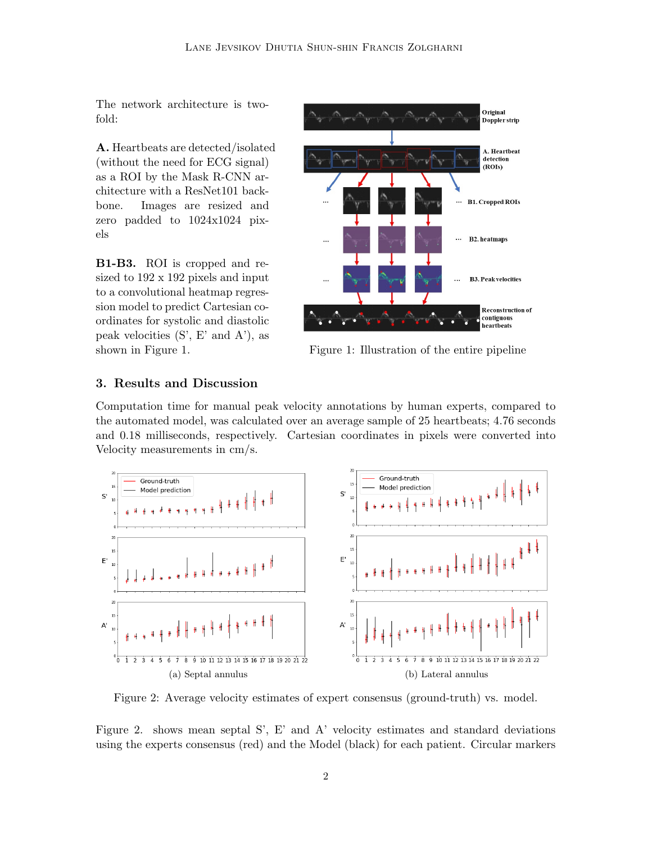The network architecture is twofold:

A. Heartbeats are detected/isolated (without the need for ECG signal) as a ROI by the Mask R-CNN architecture with a ResNet101 backbone. Images are resized and zero padded to 1024x1024 pixels

B1-B3. ROI is cropped and resized to 192 x 192 pixels and input to a convolutional heatmap regression model to predict Cartesian coordinates for systolic and diastolic peak velocities (S', E' and A'), as shown in Figure 1.



Figure 1: Illustration of the entire pipeline

## 3. Results and Discussion

Computation time for manual peak velocity annotations by human experts, compared to the automated model, was calculated over an average sample of 25 heartbeats; 4.76 seconds and 0.18 milliseconds, respectively. Cartesian coordinates in pixels were converted into Velocity measurements in cm/s.



Figure 2: Average velocity estimates of expert consensus (ground-truth) vs. model.

Figure 2. shows mean septal S', E' and A' velocity estimates and standard deviations using the experts consensus (red) and the Model (black) for each patient. Circular markers